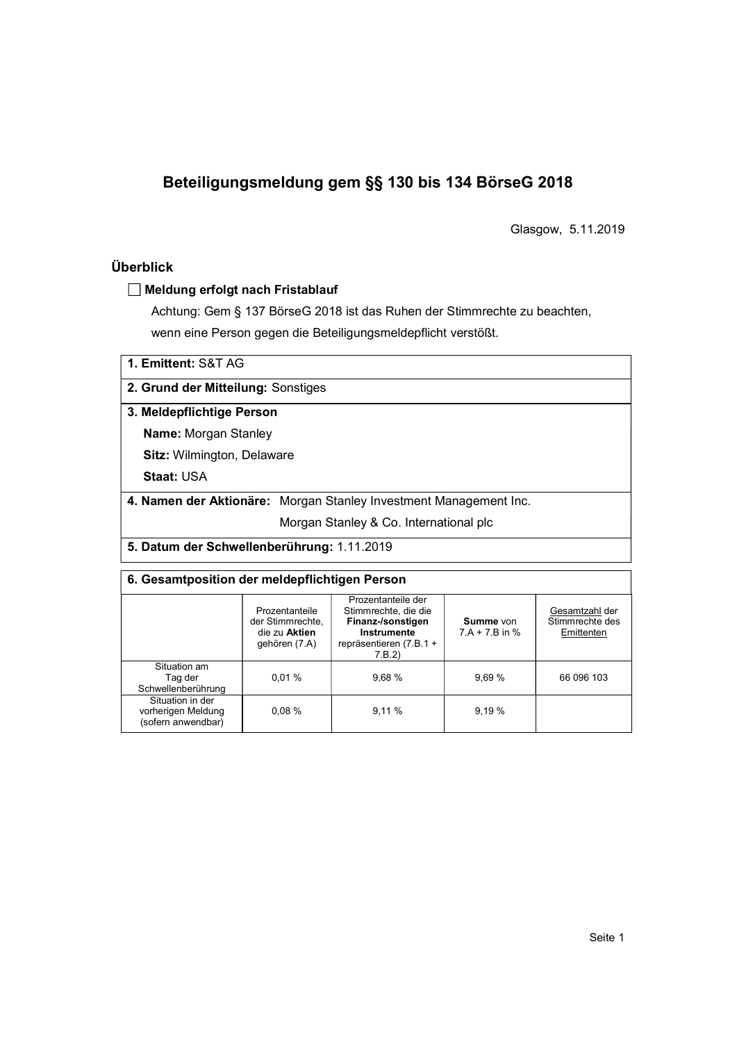# Beteiligungsmeldung gem §§ 130 bis 134 BörseG 2018

Glasgow, 5.11.2019

# Überblick

## Meldung erfolgt nach Fristablauf

Achtung: Gem § 137 BörseG 2018 ist das Ruhen der Stimmrechte zu beachten, wenn eine Person gegen die Beteiligungsmeldepflicht verstößt.

| 1. Emittent: S&T AG |
|---------------------|
|---------------------|

2. Grund der Mitteilung: Sonstiges

#### 3. Meldepflichtige Person

Name: Morgan Stanley

Sitz: Wilmington, Delaware

Staat: USA

4. Namen der Aktionäre: Morgan Stanley Investment Management Inc.

Morgan Stanley & Co. International plc

5. Datum der Schwellenberührung: 1.11.2019

## 6. Gesamtposition der meldepflichtigen Person

|                                                              | Prozentanteile<br>der Stimmrechte,<br>die zu Aktien<br>gehören (7.A) | Prozentanteile der<br>Stimmrechte, die die<br>Finanz-/sonstigen<br>Instrumente<br>repräsentieren (7.B.1 +<br>7.B.2 | Summe von<br>$7.A + 7.B$ in % | Gesamtzahl der<br>Stimmrechte des<br>Emittenten |  |  |
|--------------------------------------------------------------|----------------------------------------------------------------------|--------------------------------------------------------------------------------------------------------------------|-------------------------------|-------------------------------------------------|--|--|
| Situation am<br>Tag der<br>Schwellenberührung                | 0.01%                                                                | 9.68%                                                                                                              | 9.69%                         | 66 096 103                                      |  |  |
| Situation in der<br>vorherigen Meldung<br>(sofern anwendbar) | 0.08%                                                                | 9,11%                                                                                                              | 9,19 %                        |                                                 |  |  |
|                                                              |                                                                      |                                                                                                                    |                               |                                                 |  |  |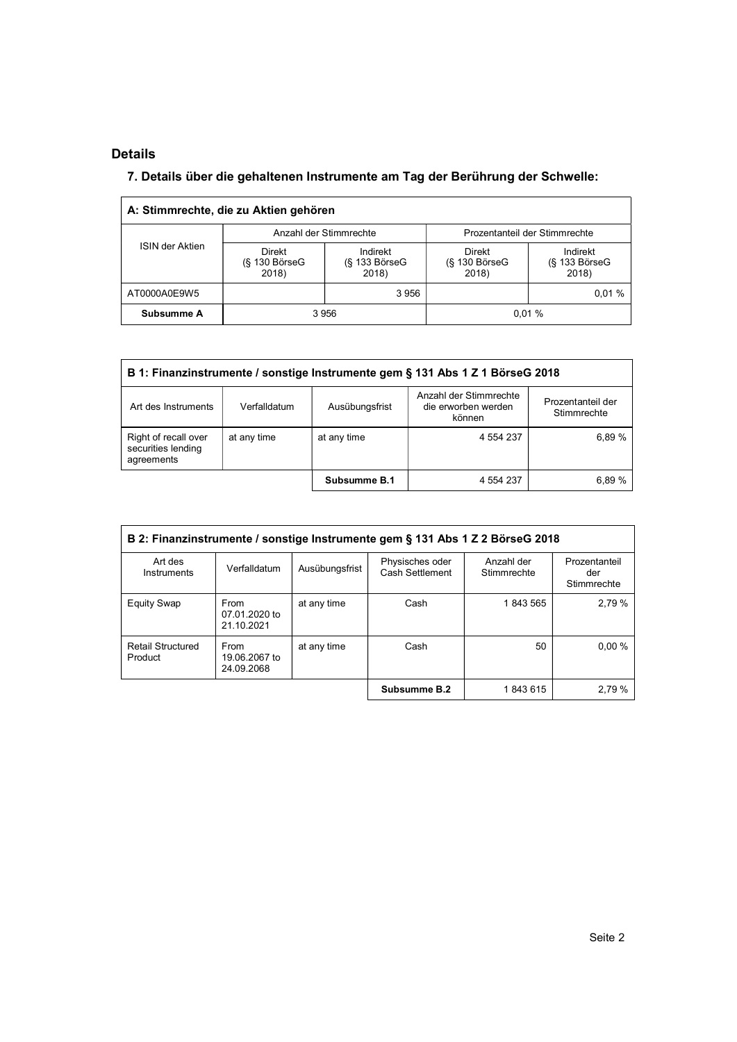# Details

l,

# 7. Details über die gehaltenen Instrumente am Tag der Berührung der Schwelle:

|                 | A: Stimmrechte, die zu Aktien gehören        |                                         |                                       |                                         |  |
|-----------------|----------------------------------------------|-----------------------------------------|---------------------------------------|-----------------------------------------|--|
|                 |                                              | Anzahl der Stimmrechte                  | Prozentanteil der Stimmrechte         |                                         |  |
| ISIN der Aktien | <b>Direkt</b><br>$(S$ 130 Börse $G$<br>2018) | Indirekt<br>$(S$ 133 Börse $G$<br>2018) | Direkt<br>$(S$ 130 Börse $G$<br>2018) | Indirekt<br>$(S$ 133 Börse $G$<br>2018) |  |
| AT0000A0E9W5    |                                              | 3956                                    |                                       | 0.01%                                   |  |
| Subsumme A      |                                              | 3956                                    | 0.01%                                 |                                         |  |

| B 1: Finanzinstrumente / sonstige Instrumente gem § 131 Abs 1 Z 1 BörseG 2018 |              |                |                                                         |                                  |  |  |
|-------------------------------------------------------------------------------|--------------|----------------|---------------------------------------------------------|----------------------------------|--|--|
| Art des Instruments                                                           | Verfalldatum | Ausübungsfrist | Anzahl der Stimmrechte<br>die erworben werden<br>können | Prozentanteil der<br>Stimmrechte |  |  |
| Right of recall over<br>securities lending<br>agreements                      | at any time  | at any time    | 4 5 5 4 2 3 7                                           | 6.89%                            |  |  |
|                                                                               |              | Subsumme B.1   | 4 554 237                                               | 6.89%                            |  |  |

| B 2: Finanzinstrumente / sonstige Instrumente gem § 131 Abs 1 Z 2 BörseG 2018 |                                     |                |                                    |                           |                                     |  |  |
|-------------------------------------------------------------------------------|-------------------------------------|----------------|------------------------------------|---------------------------|-------------------------------------|--|--|
| Art des<br>Instruments                                                        | Verfalldatum                        | Ausübungsfrist | Physisches oder<br>Cash Settlement | Anzahl der<br>Stimmrechte | Prozentanteil<br>der<br>Stimmrechte |  |  |
| <b>Equity Swap</b>                                                            | From<br>07.01.2020 to<br>21.10.2021 | at any time    | Cash                               | 1843565                   | 2,79 %                              |  |  |
| <b>Retail Structured</b><br>Product                                           | From<br>19.06.2067 to<br>24.09.2068 | at any time    | Cash                               | 50                        | 0,00%                               |  |  |
|                                                                               |                                     |                | Subsumme B.2                       | 1843615                   | 2,79 %                              |  |  |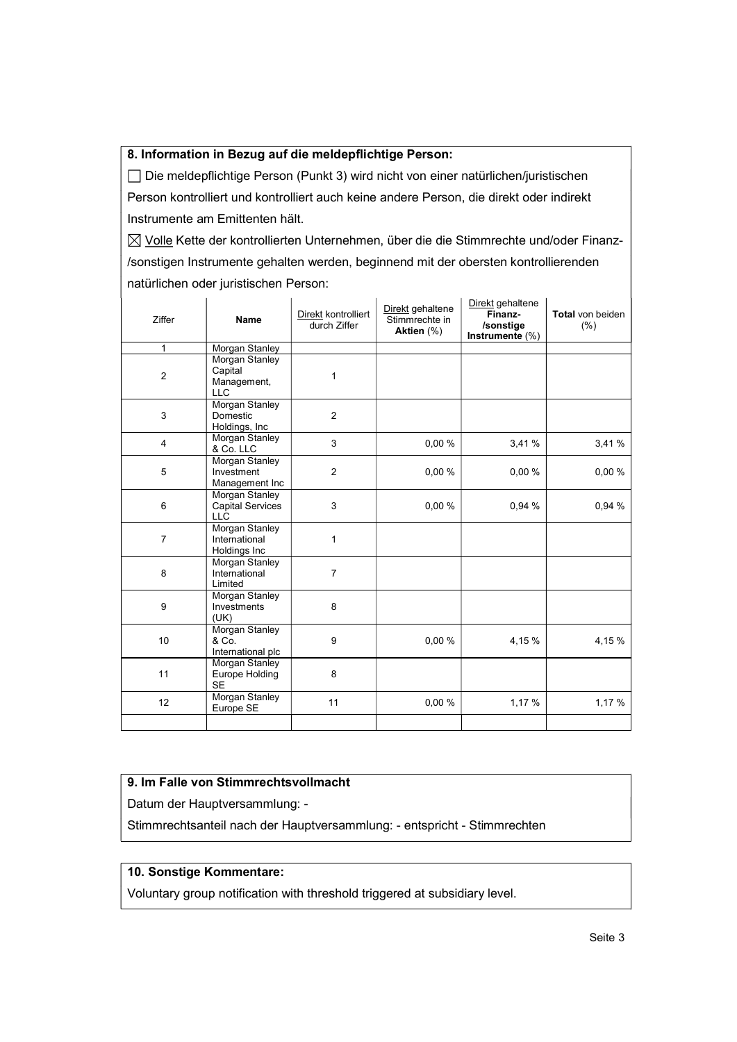#### 8. Information in Bezug auf die meldepflichtige Person:

 Die meldepflichtige Person (Punkt 3) wird nicht von einer natürlichen/juristischen Person kontrolliert und kontrolliert auch keine andere Person, die direkt oder indirekt Instrumente am Emittenten hält.

 $\boxtimes$  Volle Kette der kontrollierten Unternehmen, über die die Stimmrechte und/oder Finanz-/sonstigen Instrumente gehalten werden, beginnend mit der obersten kontrollierenden natürlichen oder juristischen Person:

| Ziffer         | <b>Name</b>                                             | Direkt kontrolliert<br>durch Ziffer | Direkt gehaltene<br>Stimmrechte in<br>Aktien $(\%)$ | Direkt gehaltene<br>Finanz-<br>/sonstige<br>Instrumente (%) | Total von beiden<br>(% ) |
|----------------|---------------------------------------------------------|-------------------------------------|-----------------------------------------------------|-------------------------------------------------------------|--------------------------|
| 1              | Morgan Stanley                                          |                                     |                                                     |                                                             |                          |
| $\sqrt{2}$     | Morgan Stanley<br>Capital<br>Management,<br><b>LLC</b>  | 1                                   |                                                     |                                                             |                          |
| $\mathsf 3$    | Morgan Stanley<br>Domestic<br>Holdings, Inc.            | $\overline{2}$                      |                                                     |                                                             |                          |
| $\overline{4}$ | <b>Morgan Stanley</b><br>& Co. LLC                      | 3                                   | 0.00%                                               | 3,41%                                                       | 3,41%                    |
| 5              | <b>Morgan Stanley</b><br>Investment<br>Management Inc   | $\overline{2}$                      | 0.00%                                               | 0,00%                                                       | 0,00%                    |
| 6              | Morgan Stanley<br><b>Capital Services</b><br><b>LLC</b> | 3                                   | 0,00 %                                              | 0,94 %                                                      | 0,94 %                   |
| $\overline{7}$ | Morgan Stanley<br>International<br>Holdings Inc         | $\mathbf{1}$                        |                                                     |                                                             |                          |
| 8              | Morgan Stanley<br>International<br>Limited              | 7                                   |                                                     |                                                             |                          |
| 9              | Morgan Stanley<br>Investments<br>(UK)                   | 8                                   |                                                     |                                                             |                          |
| 10             | Morgan Stanley<br>& Co.<br>International plc            | 9                                   | 0,00%                                               | 4,15%                                                       | 4,15%                    |
| 11             | Morgan Stanley<br>Europe Holding<br><b>SE</b>           | 8                                   |                                                     |                                                             |                          |
| 12             | Morgan Stanley<br>Europe SE                             | 11                                  | 0.00%                                               | 1,17 %                                                      | 1,17 %                   |
|                |                                                         |                                     |                                                     |                                                             |                          |

#### 9. Im Falle von Stimmrechtsvollmacht

Datum der Hauptversammlung: -

Stimmrechtsanteil nach der Hauptversammlung: - entspricht - Stimmrechten

## 10. Sonstige Kommentare:

Voluntary group notification with threshold triggered at subsidiary level.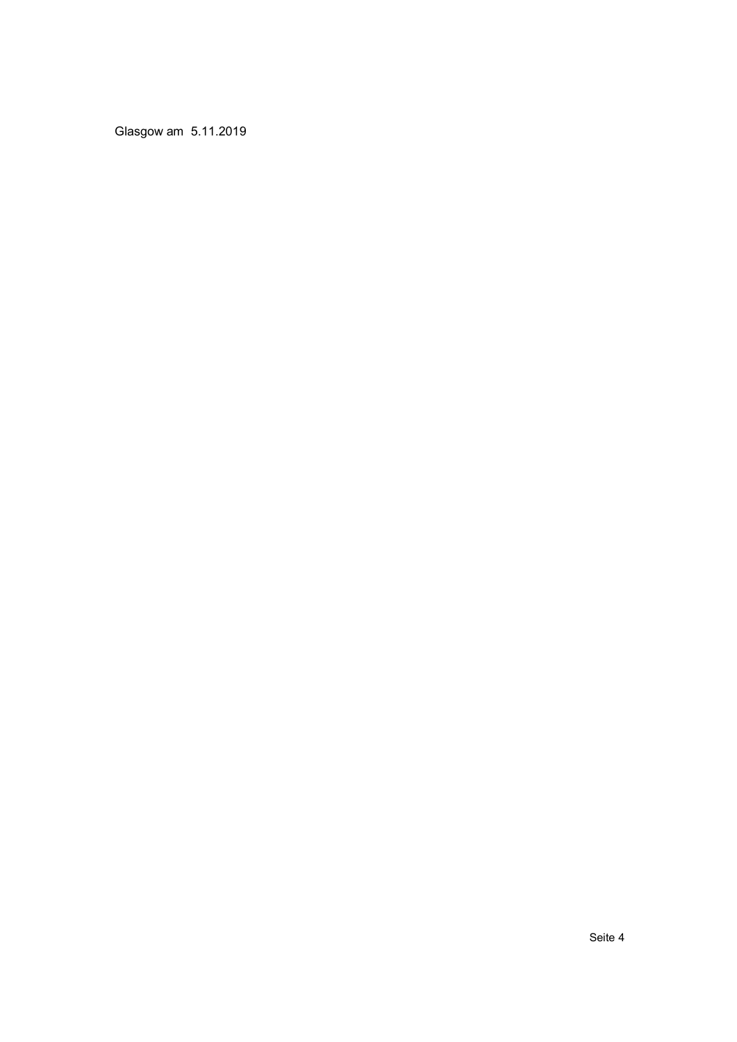Glasgow am 5.11.2019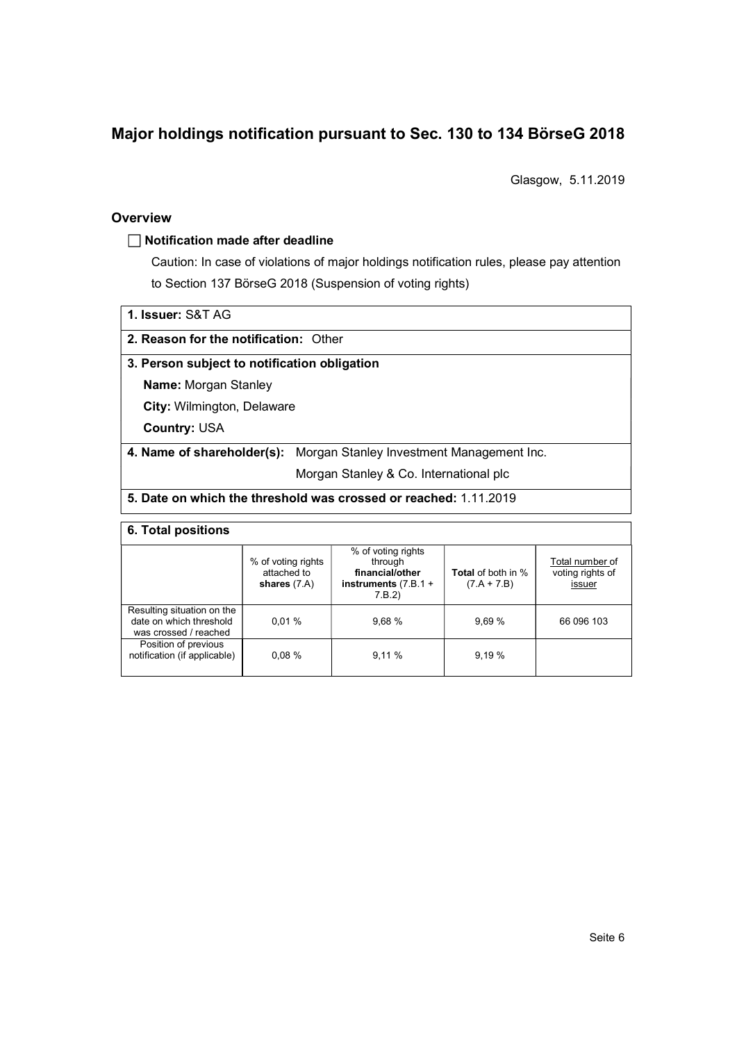# Major holdings notification pursuant to Sec. 130 to 134 BörseG 2018

Glasgow, 5.11.2019

#### **Overview**

#### $\Box$  Notification made after deadline

Caution: In case of violations of major holdings notification rules, please pay attention to Section 137 BörseG 2018 (Suspension of voting rights)

1. Issuer: S&T AG

2. Reason for the notification: Other

#### 3. Person subject to notification obligation

Name: Morgan Stanley

City: Wilmington, Delaware

Country: USA

## 4. Name of shareholder(s): Morgan Stanley Investment Management Inc.

Morgan Stanley & Co. International plc

## 5. Date on which the threshold was crossed or reached: 1.11.2019

## 6. Total positions

|                                                                                | % of voting rights<br>attached to<br>shares $(7.A)$ | % of voting rights<br>through<br>financial/other<br>instruments $(7.B.1 +$<br>7.B.2) | <b>Total</b> of both in %<br>$(7.A + 7.B)$ | Total number of<br>voting rights of<br>issuer |
|--------------------------------------------------------------------------------|-----------------------------------------------------|--------------------------------------------------------------------------------------|--------------------------------------------|-----------------------------------------------|
| Resulting situation on the<br>date on which threshold<br>was crossed / reached | 0.01%                                               | 9.68%                                                                                | 9.69%                                      | 66 096 103                                    |
| Position of previous<br>notification (if applicable)                           | 0.08%                                               | 9.11%                                                                                | 9.19%                                      |                                               |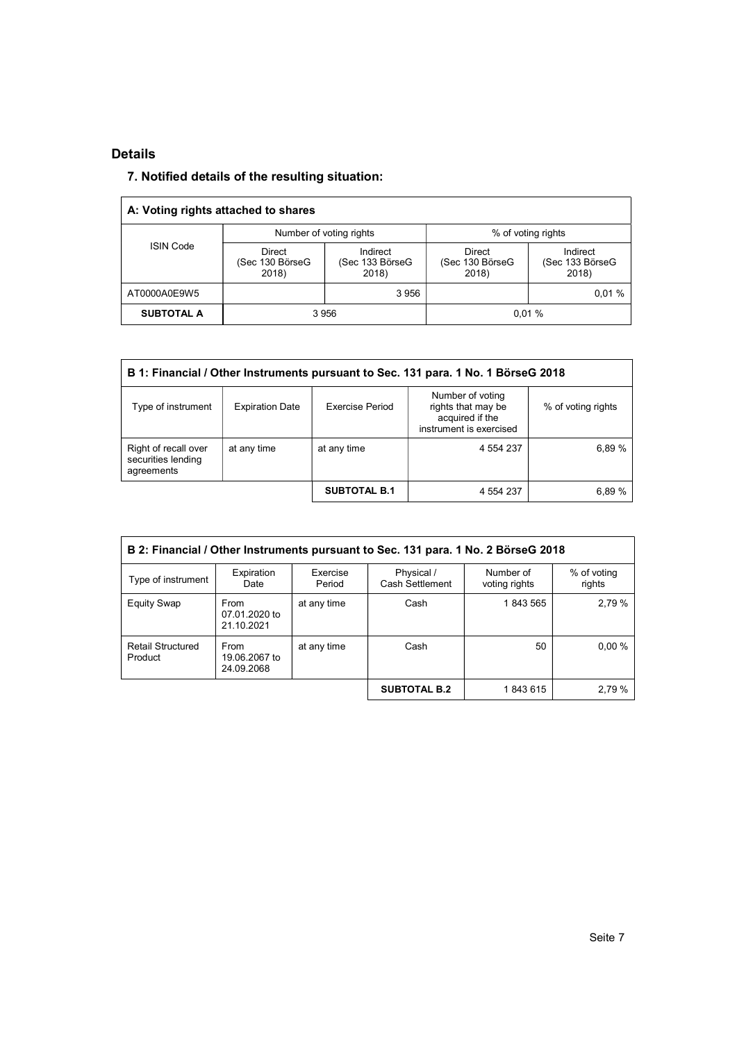# Details

# 7. Notified details of the resulting situation:

| A: Voting rights attached to shares |                                           |                                      |                                    |                                      |  |
|-------------------------------------|-------------------------------------------|--------------------------------------|------------------------------------|--------------------------------------|--|
|                                     |                                           | Number of voting rights              | % of voting rights                 |                                      |  |
| <b>ISIN Code</b>                    | <b>Direct</b><br>(Sec 130 BörseG<br>2018) | Indirect<br>(Sec 133 BörseG<br>2018) | Direct<br>(Sec 130 BörseG<br>2018) | Indirect<br>(Sec 133 BörseG<br>2018) |  |
| AT0000A0E9W5                        |                                           | 3956                                 |                                    | 0.01%                                |  |
| <b>SUBTOTAL A</b>                   | 3 9 5 6                                   |                                      | 0.01%                              |                                      |  |

| B 1: Financial / Other Instruments pursuant to Sec. 131 para. 1 No. 1 BörseG 2018 |                        |                        |                                                                                      |                    |  |  |  |
|-----------------------------------------------------------------------------------|------------------------|------------------------|--------------------------------------------------------------------------------------|--------------------|--|--|--|
| Type of instrument                                                                | <b>Expiration Date</b> | <b>Exercise Period</b> | Number of voting<br>rights that may be<br>acquired if the<br>instrument is exercised | % of voting rights |  |  |  |
| Right of recall over<br>securities lending<br>agreements                          | at any time            | at any time            | 4 554 237                                                                            | 6.89%              |  |  |  |
|                                                                                   |                        | <b>SUBTOTAL B.1</b>    | 4 554 237                                                                            | 6,89 %             |  |  |  |

| B 2: Financial / Other Instruments pursuant to Sec. 131 para. 1 No. 2 BörseG 2018 |                                     |                    |                               |                            |                       |  |  |
|-----------------------------------------------------------------------------------|-------------------------------------|--------------------|-------------------------------|----------------------------|-----------------------|--|--|
| Type of instrument                                                                | Expiration<br>Date                  | Exercise<br>Period | Physical /<br>Cash Settlement | Number of<br>voting rights | % of voting<br>rights |  |  |
| <b>Equity Swap</b>                                                                | From<br>07.01.2020 to<br>21.10.2021 | at any time        | Cash                          | 1843565                    | 2.79%                 |  |  |
| <b>Retail Structured</b><br>Product                                               | From<br>19.06.2067 to<br>24.09.2068 | at any time        | Cash                          | 50                         | $0.00\%$              |  |  |
|                                                                                   |                                     |                    | <b>SUBTOTAL B.2</b>           | 1843615                    | 2,79 %                |  |  |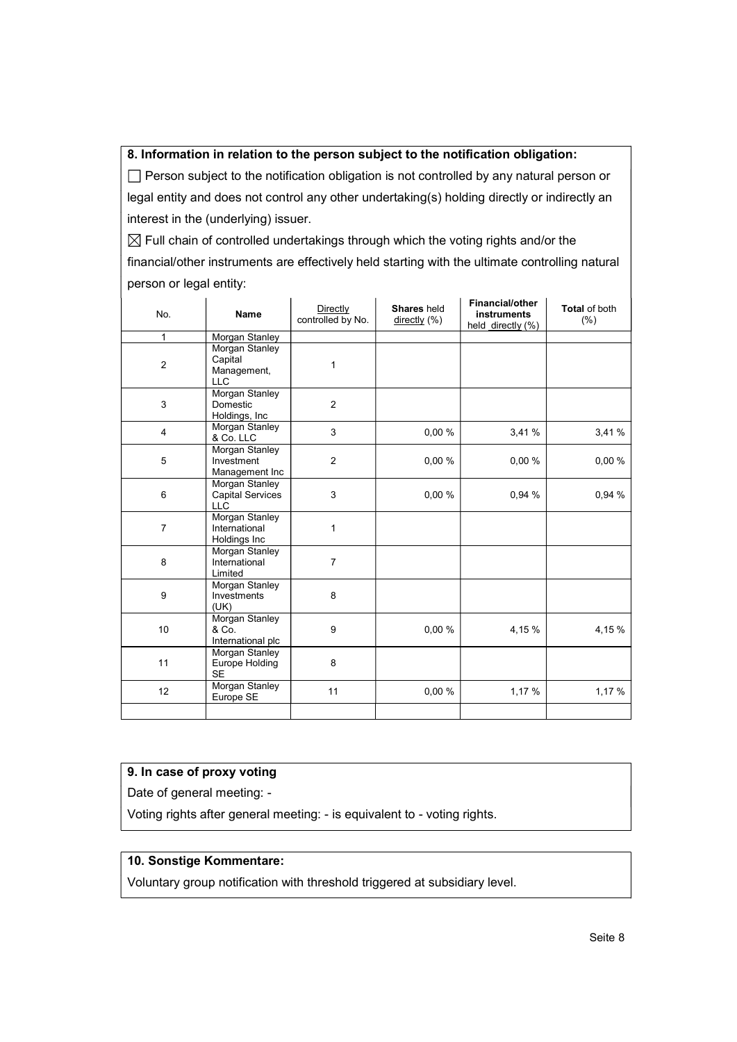#### 8. Information in relation to the person subject to the notification obligation:

 $\Box$  Person subject to the notification obligation is not controlled by any natural person or legal entity and does not control any other undertaking(s) holding directly or indirectly an interest in the (underlying) issuer.

 $\boxtimes$  Full chain of controlled undertakings through which the voting rights and/or the financial/other instruments are effectively held starting with the ultimate controlling natural person or legal entity:

| No.              | <b>Name</b>                                             | Directly<br>controlled by No. | Shares held<br>$\frac{directly}{\sqrt{ }}$ (%) | <b>Financial/other</b><br><b>instruments</b><br>held directly (%) | Total of both<br>(% ) |
|------------------|---------------------------------------------------------|-------------------------------|------------------------------------------------|-------------------------------------------------------------------|-----------------------|
| $\mathbf{1}$     | Morgan Stanley                                          |                               |                                                |                                                                   |                       |
| $\boldsymbol{2}$ | Morgan Stanley<br>Capital<br>Management,<br><b>LLC</b>  | 1                             |                                                |                                                                   |                       |
| 3                | Morgan Stanley<br>Domestic<br>Holdings, Inc             | $\overline{2}$                |                                                |                                                                   |                       |
| 4                | Morgan Stanley<br>& Co. LLC                             | 3                             | 0,00%                                          | 3,41%                                                             | 3,41 %                |
| $\mathbf 5$      | Morgan Stanley<br>Investment<br>Management Inc          | $\overline{2}$                | 0,00%                                          | 0,00%                                                             | 0,00 %                |
| $\,6$            | Morgan Stanley<br><b>Capital Services</b><br><b>LLC</b> | 3                             | 0,00 %                                         | 0,94 %                                                            | 0,94 %                |
| $\overline{7}$   | Morgan Stanley<br>International<br>Holdings Inc         | 1                             |                                                |                                                                   |                       |
| 8                | Morgan Stanley<br>International<br>Limited              | $\overline{7}$                |                                                |                                                                   |                       |
| 9                | Morgan Stanley<br>Investments<br>(UK)                   | 8                             |                                                |                                                                   |                       |
| 10               | Morgan Stanley<br>& Co.<br>International plc            | 9                             | 0,00 %                                         | 4,15 %                                                            | 4,15%                 |
| 11               | Morgan Stanley<br>Europe Holding<br><b>SE</b>           | 8                             |                                                |                                                                   |                       |
| 12               | <b>Morgan Stanley</b><br>Europe SE                      | 11                            | 0.00%                                          | 1,17 %                                                            | 1,17 %                |
|                  |                                                         |                               |                                                |                                                                   |                       |

## 9. In case of proxy voting

Date of general meeting: -

Voting rights after general meeting: - is equivalent to - voting rights.

## 10. Sonstige Kommentare:

Voluntary group notification with threshold triggered at subsidiary level.